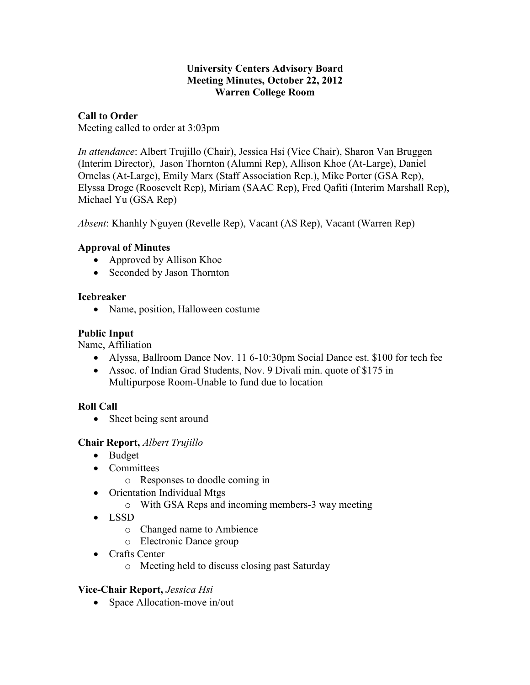#### **University Centers Advisory Board Meeting Minutes, October 22, 2012 Warren College Room**

# **Call to Order**

Meeting called to order at 3:03pm

*In attendance*: Albert Trujillo (Chair), Jessica Hsi (Vice Chair), Sharon Van Bruggen (Interim Director), Jason Thornton (Alumni Rep), Allison Khoe (At-Large), Daniel Ornelas (At-Large), Emily Marx (Staff Association Rep.), Mike Porter (GSA Rep), Elyssa Droge (Roosevelt Rep), Miriam (SAAC Rep), Fred Qafiti (Interim Marshall Rep), Michael Yu (GSA Rep)

*Absent*: Khanhly Nguyen (Revelle Rep), Vacant (AS Rep), Vacant (Warren Rep)

## **Approval of Minutes**

- Approved by Allison Khoe
- Seconded by Jason Thornton

#### **Icebreaker**

• Name, position, Halloween costume

#### **Public Input**

Name, Affiliation

- Alyssa, Ballroom Dance Nov. 11 6-10:30pm Social Dance est. \$100 for tech fee
- Assoc. of Indian Grad Students, Nov. 9 Divali min. quote of \$175 in Multipurpose Room-Unable to fund due to location

## **Roll Call**

• Sheet being sent around

## **Chair Report,** *Albert Trujillo*

- Budget
- Committees
	- o Responses to doodle coming in
- Orientation Individual Mtgs
	- o With GSA Reps and incoming members-3 way meeting
- LSSD
	- o Changed name to Ambience
	- o Electronic Dance group
- Crafts Center
	- o Meeting held to discuss closing past Saturday

## **Vice-Chair Report,** *Jessica Hsi*

• Space Allocation-move in/out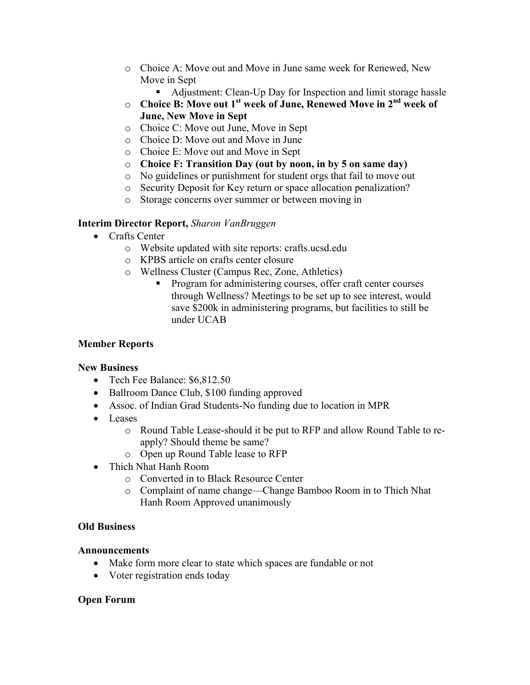- o Choice A: Move out and Move in June same week for Renewed, New Move in Sept
	- Adjustment: Clean-Up Day for Inspection and limit storage hassle
- o **Choice B: Move out 1st week of June, Renewed Move in 2nd week of June, New Move in Sept**
- o Choice C: Move out June, Move in Sept
- o Choice D: Move out and Move in June
- o Choice E: Move out and Move in Sept
- o **Choice F: Transition Day (out by noon, in by 5 on same day)**
- o No guidelines or punishment for student orgs that fail to move out
- o Security Deposit for Key return or space allocation penalization?
- o Storage concerns over summer or between moving in

#### **Interim Director Report,** *Sharon VanBruggen*

- Crafts Center
	- o Website updated with site reports: crafts.ucsd.edu
	- o KPBS article on crafts center closure
	- o Wellness Cluster (Campus Rec, Zone, Athletics)
		- Program for administering courses, offer craft center courses through Wellness? Meetings to be set up to see interest, would save \$200k in administering programs, but facilities to still be under UCAB

#### **Member Reports**

#### **New Business**

- Tech Fee Balance: \$6,812.50
- Ballroom Dance Club, \$100 funding approved
- Assoc. of Indian Grad Students-No funding due to location in MPR
- Leases
	- o Round Table Lease-should it be put to RFP and allow Round Table to reapply? Should theme be same?
	- o Open up Round Table lease to RFP
- Thich Nhat Hanh Room
	- o Converted in to Black Resource Center
	- o Complaint of name change—Change Bamboo Room in to Thich Nhat Hanh Room Approved unanimously

#### **Old Business**

#### **Announcements**

- Make form more clear to state which spaces are fundable or not
- Voter registration ends today

#### **Open Forum**